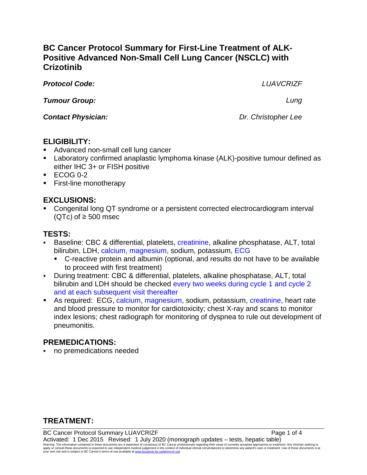# **BC Cancer Protocol Summary for First-Line Treatment of ALK-Positive Advanced Non-Small Cell Lung Cancer (NSCLC) with Crizotinib**

*Protocol Code: LUAVCRIZF*

*Tumour Group: Lung*

*Contact Physician: Dr. Christopher Lee*

## **ELIGIBILITY:**

- Advanced non-small cell lung cancer
- Laboratory confirmed anaplastic lymphoma kinase (ALK)-positive tumour defined as either IHC 3+ or FISH positive
- $\textdegree$  ECOG 0-2
- **First-line monotherapy**

## **EXCLUSIONS:**

 Congenital long QT syndrome or a persistent corrected electrocardiogram interval (QTc) of ≥ 500 msec

# **TESTS:**

- Baseline: CBC & differential, platelets, creatinine, alkaline phosphatase, ALT, total bilirubin, LDH, calcium, magnesium, sodium, potassium, ECG
	- C-reactive protein and albumin (optional, and results do not have to be available to proceed with first treatment)
- During treatment: CBC & differential, platelets, alkaline phosphatase, ALT, total bilirubin and LDH should be checked every two weeks during cycle 1 and cycle 2 and at each subsequent visit thereafter
- As required: ECG, calcium, magnesium, sodium, potassium, creatinine, heart rate and blood pressure to monitor for cardiotoxicity; chest X-ray and scans to monitor index lesions; chest radiograph for monitoring of dyspnea to rule out development of pneumonitis.

## **PREMEDICATIONS:**

no premedications needed

## **TREATMENT:**

BC Cancer Protocol Summary LUAVCRIZF **Page 1 of 4** and 2001 and 2012 and 2013 Activated: 1 Dec 2015 Revised: 1 July 2020 (monograph updates – tests, hepatic table) Warning: The information contained in these documents are a statement of consensus of BC Cancer professionals regarding their views of currently accepted approaches to treatment. Any clinician seeking to<br>apply or consult t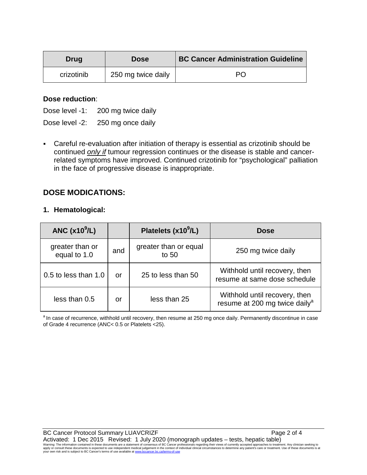| <b>Drug</b> | <b>Dose</b>        | <b>BC Cancer Administration Guideline</b> |
|-------------|--------------------|-------------------------------------------|
| crizotinib  | 250 mg twice daily | PС                                        |

#### **Dose reduction**:

Dose level -1: 200 mg twice daily

Dose level -2: 250 mg once daily

 Careful re-evaluation after initiation of therapy is essential as crizotinib should be continued *only if* tumour regression continues or the disease is stable and cancerrelated symptoms have improved. Continued crizotinib for "psychological" palliation in the face of progressive disease is inappropriate.

### **DOSE MODICATIONS:**

#### **1. Hematological:**

| ANC $(x10^9/L)$                 |     | Platelets $(x10^9/L)$          | <b>Dose</b>                                                                |
|---------------------------------|-----|--------------------------------|----------------------------------------------------------------------------|
| greater than or<br>equal to 1.0 | and | greater than or equal<br>to 50 | 250 mg twice daily                                                         |
| 0.5 to less than 1.0            | or  | 25 to less than 50             | Withhold until recovery, then<br>resume at same dose schedule              |
| less than 0.5                   | or  | less than 25                   | Withhold until recovery, then<br>resume at 200 mg twice daily <sup>a</sup> |

<sup>a</sup> In case of recurrence, withhold until recovery, then resume at 250 mg once daily. Permanently discontinue in case of Grade 4 recurrence (ANC< 0.5 or Platelets <25).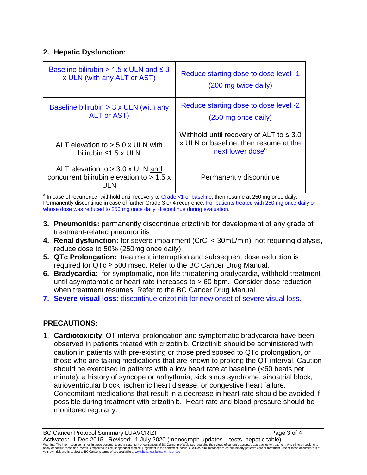### **2. Hepatic Dysfunction:**

| Baseline bilirubin $> 1.5 \times$ ULN and $\leq$ 3                                        | Reduce starting dose to dose level -1                                                                                 |
|-------------------------------------------------------------------------------------------|-----------------------------------------------------------------------------------------------------------------------|
| x ULN (with any ALT or AST)                                                               | (200 mg twice daily)                                                                                                  |
| Baseline bilirubin $>$ 3 x ULN (with any                                                  | Reduce starting dose to dose level -2                                                                                 |
| <b>ALT or AST)</b>                                                                        | (250 mg once daily)                                                                                                   |
| ALT elevation to $> 5.0$ x ULN with<br>bilirubin $\leq 1.5 \times$ ULN                    | Withhold until recovery of ALT to $\leq 3.0$<br>x ULN or baseline, then resume at the<br>next lower dose <sup>a</sup> |
| ALT elevation to $>$ 3.0 x ULN and<br>concurrent bilirubin elevation to $> 1.5$ x<br>UL N | Permanently discontinue                                                                                               |

<sup>a</sup> In case of recurrence, withhold until recovery to Grade <1 or baseline, then resume at 250 mg once daily. Permanently discontinue in case of further Grade 3 or 4 recurrence. For patients treated with 250 mg once daily or whose dose was reduced to 250 mg once daily, discontinue during evaluation.

- **3. Pneumonitis:** permanently discontinue crizotinib for development of any grade of treatment-related pneumonitis
- **4. Renal dysfunction:** for severe impairment (CrCl < 30mL/min), not requiring dialysis, reduce dose to 50% (250mg once daily)
- **5. QTc Prolongation:** treatment interruption and subsequent dose reduction is required for QTc ≥ 500 msec. Refer to the BC Cancer Drug Manual.
- **6. Bradycardia:** for symptomatic, non-life threatening bradycardia, withhold treatment until asymptomatic or heart rate increases to > 60 bpm. Consider dose reduction when treatment resumes. Refer to the BC Cancer Drug Manual.
- **7. Severe visual loss:** discontinue crizotinib for new onset of severe visual loss.

## **PRECAUTIONS:**

1. **Cardiotoxicity**: QT interval prolongation and symptomatic bradycardia have been observed in patients treated with crizotinib. Crizotinib should be administered with caution in patients with pre-existing or those predisposed to QTc prolongation, or those who are taking medications that are known to prolong the QT interval. Caution should be exercised in patients with a low heart rate at baseline (<60 beats per minute), a history of syncope or arrhythmia, sick sinus syndrome, sinoatrial block, atrioventricular block, ischemic heart disease, or congestive heart failure. Concomitant medications that result in a decrease in heart rate should be avoided if possible during treatment with crizotinib. Heart rate and blood pressure should be monitored regularly.